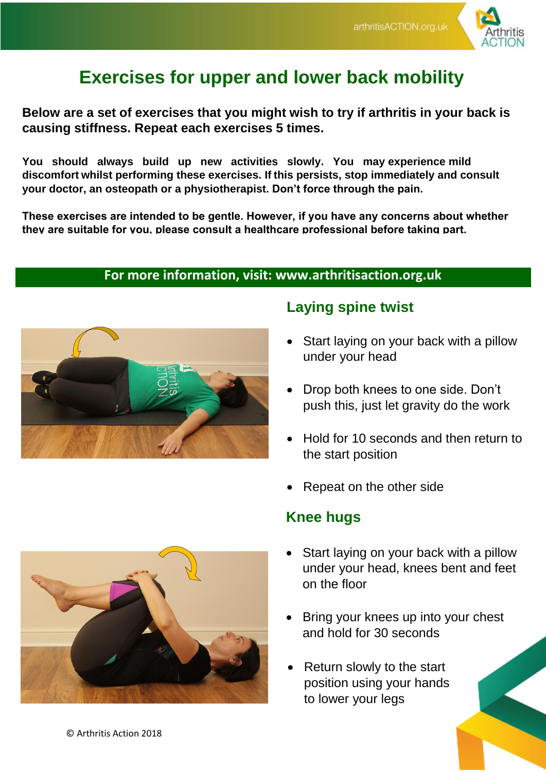

# **Exercises for upper and lower back mobility**

**Below are a set of exercises that you might wish to try if arthritis in your back is causing stiffness. Repeat each exercises 5 times.** 

**You should always build up new activities slowly. You may experience mild discomfort whilst performing these exercises. If this persists, stop immediately and consult your doctor, an osteopath or a physiotherapist. Don't force through the pain.**

**These exercises are intended to be gentle. However, if you have any concerns about whether they are suitable for you, please consult a healthcare professional before taking part.**

#### **For more information, visit: www.arthritisaction.org.uk**



# **Laying spine twist**

- Start laying on your back with a pillow under your head
- Drop both knees to one side. Don't push this, just let gravity do the work
- Hold for 10 seconds and then return to the start position
- Repeat on the other side

#### **Knee hugs**

- Start laying on your back with a pillow under your head, knees bent and feet on the floor
- Bring your knees up into your chest and hold for 30 seconds
- Return slowly to the start position using your hands to lower your legs